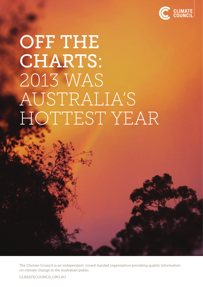

# OFF THE CHARTS: 2013 WAS AUSTRALIA'S HOTTEST YEAR

The Climate Council is an independent, crowd-funded organisation providing quality information on climate change to the Australian public.

CLIMATECOUNCIL.ORG.AU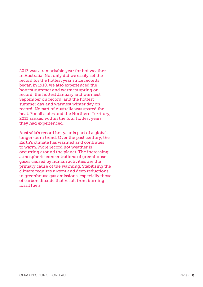2013 was a remarkable year for hot weather in Australia. Not only did we easily set the record for the hottest year since records began in 1910, we also experienced the hottest summer and warmest spring on record; the hottest January and warmest September on record; and the hottest summer day and warmest winter day on record. No part of Australia was spared the heat. For all states and the Northern Territory, 2013 ranked within the four hottest years they had experienced.

Australia's record hot year is part of a global, longer-term trend. Over the past century, the Earth's climate has warmed and continues to warm. More record hot weather is occurring around the planet. The increasing atmospheric concentrations of greenhouse gases caused by human activities are the primary cause of the warming. Stabilising the climate requires urgent and deep reductions in greenhouse gas emissions, especially those of carbon dioxide that result from burning fossil fuels.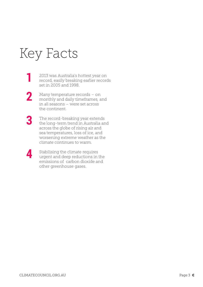## Key Facts

**1**

- 2013 was Australia's hottest year on record, easily breaking earlier records set in 2005 and 1998.
- Many temperature records on monthly and daily timeframes, and in all seasons – were set across the continent. **2**
- The record-breaking year extends the long-term trend in Australia and across the globe of rising air and sea temperatures, loss of ice, and worsening extreme weather as the climate continues to warm. **3**
- Stabilising the climate requires urgent and deep reductions in the emissions of carbon dioxide and other greenhouse gases. **4**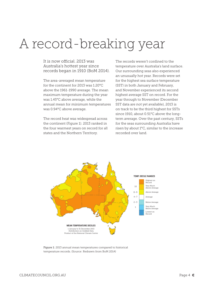### A record-breaking year

It is now official. 2013 was Australia's hottest year since records began in 1910 (BoM 2014).

The area-averaged mean temperature for the continent for 2013 was 1.20°C above the 1961-1990 average. The mean maximum temperature during the year was 1.45°C above average, while the annual mean for minimum temperatures was 0.94°C above average.

The record heat was widespread across the continent (Figure 1). 2013 ranked in the four warmest years on record for all states and the Northern Territory.

The records weren't confined to the temperature over Australia's land surface. Our surrounding seas also experienced an unusually hot year. Records were set for the highest sea surface temperature (SST) in both January and February, and November experienced its second highest average SST on record. For the year through to November (December SST data are not yet available), 2013 is on track to be the third highest for SSTs since 1910, about 0.51°C above the longterm average. Over the past century, SSTs for the seas surrounding Australia have risen by about 1°C, similar to the increase recorded over land.



Figure 1: 2013 annual mean temperatures compared to historical temperature records. (Source: Redrawn from BoM 2014)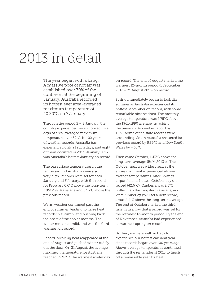#### 2013 in detail

The year began with a bang. A massive pool of hot air was established over 70% of the continent at the beginning of January. Australia recorded its hottest ever area-averaged maximum temperature of 40.30°C on 7 January.

Through the period  $2 - 8$  January, the country experienced seven consecutive days of area-averaged maximum temperature over 39°C. In 102 years of weather records, Australia has experienced only 21 such days, and eight of them occurred in 2013. January 2013 was Australia's hottest January on record.

The sea surface temperatures in the region around Australia were also very high. Records were set for both January and February, with the record for February 0.6°C above the long-term (1961-1990) average and 0.13°C above the previous record.

Warm weather continued past the end of summer, leading to more heat records in autumn, and pushing back the onset of the cooler months. The winter remained mild, and was the third warmest on record.

Record-breaking heat reappeared at the end of August and pushed winter rudely out the door. On 31 August, the average maximum temperature for Australia reached 29.92°C, the warmest winter day on record. The end of August marked the warmest 12-month period (1 September 2012 – 31 August 2013) on record.

Spring immediately began to look like summer as Australia experienced its hottest September on record, with some remarkable observations. The monthly average temperature was 2.75°C above the 1961-1990 average, smashing the previous September record by 1.1°C. Some of the state records were astounding; South Australia shattered its previous record by 5.39°C and New South Wales by 4.68°C.

Then came October, 1.43°C above the long-term average (BoM 2013a). The October heat was widespread as the entire continent experienced aboveaverage temperatures. Alice Springs airport had its hottest October day on record (42.6°C), Canberra was 2.5°C hotter than the long-term average, and West Kimberley (WA) set a new record, around 4°C above the long-term average. The end of October marked the third month in a row that a record was set for the warmest 12-month period. By the end of November, Australia had experienced its warmest spring on record.

By then, we were well on track to experience our hottest calendar year since records began over 100 years ago. Above-average temperatures continued through the remainder of 2013 to finish off a remarkable year for heat.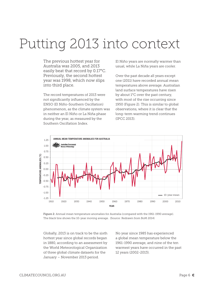### Putting 2013 into context

The previous hottest year for Australia was 2005, and 2013 easily beat that record by 0.17°C. Previously, the second hottest year was 1998, which now slips into third place.

The record temperatures of 2013 were not significantly influenced by the ENSO (El Niño-Southern Oscillation) phenomenon, as the climate system was in neither an El Niño or La Niña phase during the year, as measured by the Southern Oscillation Index.

El Niño years are normally warmer than usual, while La Niña years are cooler.

Over the past decade all years except one (2011) have recorded annual mean temperatures above average. Australian land surface temperatures have risen by about 1°C over the past century, with most of the rise occurring since 1950 (Figure 2). This is similar to global observations, where it is clear that the long-term warming trend continues (IPCC 2013).



Figure 2: Annual mean temperature anomalies for Australia (compared with the 1961-1990 average). The black line shows the 10-year moving average. (Source: Redrawn from BoM 2014)

Globally, 2013 is on track to be the sixth hottest year since global records began in 1880, according to an assessment by the World Meteorological Organization of three global climate datasets for the January – November 2013 period.

No year since 1985 has experienced a global mean temperature below the 1961-1990 average, and nine of the ten warmest years have occurred in the past 12 years (2002-2013).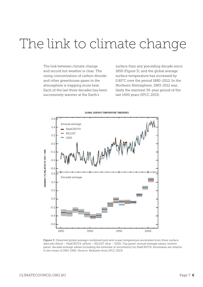#### The link to climate change

The link between climate change and record hot weather is clear. The rising concentration of carbon dioxide and other greenhouse gases in the atmosphere is trapping more heat. Each of the last three decades has been successively warmer at the Earth's

surface than any preceding decade since 1850 (Figure 3), and the global average surface temperature has increased by 0.85°C over the period 1880-2012. In the Northern Hemisphere, 1983-2012 was likely the warmest 30-year period of the last 1400 years (IPCC 2013).



Figure 3: Observed global average combined land and ocean temperature anomalies from three surface data sets (black – HadCRUT4, yellow – MLOST, blue – GISS). Top panel: annual average values, bottom panel: decadal average values including the estimate of uncertainty for HadCRUT4. Anomalies are relative to the mean of 1961-1990. (Source: Redrawn from IPCC 2013)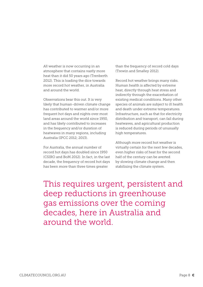All weather is now occurring in an atmosphere that contains vastly more heat than it did 50 years ago (Trenberth 2012). This is loading the dice towards more record hot weather, in Australia and around the world.

Observations bear this out. It is very likely that human-driven climate change has contributed to warmer and/or more frequent hot days and nights over most land areas around the world since 1950, and has likely contributed to increases in the frequency and/or duration of heatwaves in many regions, including Australia (IPCC 2012; 2013).

For Australia, the annual number of record hot days has doubled since 1950 (CSIRO and BoM 2012). In fact, in the last decade, the frequency of record hot days has been more than three times greater

than the frequency of record cold days (Trewin and Smalley 2012).

Record hot weather brings many risks. Human health is affected by extreme heat, directly through heat stress and indirectly through the exacerbation of existing medical conditions. Many other species of animals are subject to ill health and death under extreme temperatures. Infrastructure, such as that for electricity distribution and transport, can fail during heatwaves, and agricultural production is reduced during periods of unusually high temperatures.

Although more record hot weather is virtually certain for the next few decades, even higher risks of heat for the second half of the century can be averted by slowing climate change and then stabilising the climate system.

This requires urgent, persistent and deep reductions in greenhouse gas emissions over the coming decades, here in Australia and around the world.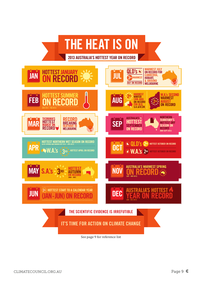

See page 9 for reference list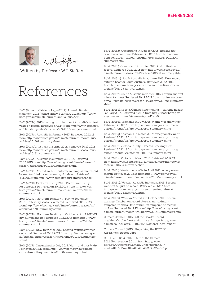

Written by Professor Will Steffen.

#### References

BoM (Bureau of Meteorology) (2014). Annual climate statement 2013 (issued Friday 3 January 2014): http://www. bom.gov.au/climate/current/annual/aus/2013/

BoM (2013a). 2013 shaping up to be one of Australia's hottest years on record. Retrieved 6.01.14 from http://www.bom.gov. au/climate/updates/articles/a003-2013-temperature.shtml

BoM (2013b). Australia in January 2013. Retrieved 20.12.13 from http://www.bom.gov.au/climate/current/month/aus/ archive/201301.summary.shtml

BoM (2013c). Australia in spring 2013. Retrieved 20.12.2013 from http://www.bom.gov.au/climate/current/season/aus/ archive/201311.summary.shtml

BoM (2013d). Australia in summer 2012-13. Retrieved 20.12.2013 from http://www.bom.gov.au/climate/current/ season/aus/archive/201302.summary.shtml

BoM (2013e). Australian 12-month mean temperature record broken for third month running. (Undated). Retrieved 4.11.2013 from http://www.bom.gov.au/climate/change/

BoM (2013f). Canberra in July 2013: Record warm July for Canberra. Retrieved on 20.12.2013 from http://www. bom.gov.au/climate/current/month/act/archive/201307. summary.shtml

BoM (2013g). Northern Territory in May to September 2013: hottest dry season on record. Retrieved 20.12.2013 from http://www.bom.gov.au/climate/current/season/nt/ archive/201309.summary.shtml

BoM (2013h). Northern Territory in October to April 2012-13: dry, humid and hot. Retrieved 20.12.2013 from http://www. bom.gov.au/climate/current/season/nt/archive/201304. summary.shtml

BoM (2013i). NSW in winter 2013: Second-warmest winter on record. Retrieved 20.12.2013 from http://www.bom.gov. au/climate/current/season/nsw/archive/201308.summary. shtml

BoM (2013j). Queensland in July 2013: Warm and mostly dry. Retrieved 20.12.13 from http://www.bom.gov.au/climate/ current/month/qld/archive/201307.summary.shtml

BoM (2013k). Queensland in October 2013: Hot and dry conditions continue. Retrieved 20.12.13 from http://www. bom.gov.au/climate/current/month/qld/archive/201310. summary.shtml

BoM (2013l). Queensland in winter 2013: 2nd hottest on record. Retrieved 20.12.2013 from http://www.bom.gov.au/ climate/current/season/qld/archive/201308.summary.shtml

BoM (2013m). South Australia in autumn 2013: Near record autumn heat for South Australia. Retrieved 20.12.2013 from http://www.bom.gov.au/climate/current/season/sa/ archive/201305.summary.shtml

BoM (2013n). South Australia in winter 2013: a warm and wet winter for most. Retrieved 20.12.2013 from http://www.bom. gov.au/climate/current/season/sa/archive/201308.summary. shtml

BoM (2013o). Special Climate Statement 43 – extreme heat in January 2013. Retrieved 6.01.14 from http://www.bom.gov. au/climate/current/statements/scs43e.pdf

BoM (2013p). Tasmania in July 2013: Warm, wet and windy. Retrieved 20.12.13 from http://www.bom.gov.au/climate/ current/month/tas/archive/201307.summary.shtml

BoM (2013q). Tasmania in March 2013: exceptionally warm. Retrieved 20.12.13 from http://www.bom.gov.au/climate/ current/month/tas/archive/201303.summary.shtml

BoM (2013r). Victoria in July – Record Breaking Heat. Retrieved 20.12.13 from http://www.bom.gov.au/climate/ current/month/vic/archive/201307.summary.shtml

BoM (2013s). Victoria in March 2013. Retrieved 20.12.13 from http://www.bom.gov.au/climate/current/month/vic/ archive/201303.summary.shtml

BoM (2013t). Western Australia in April 2013: A very warm month. Retrieved 20.12.13 from http://www.bom.gov.au/ climate/current/month/wa/archive/201304.summary.shtml

BoM (2013u). Western Australia in August 2013: Second warmest August on record. Retrieved 20.12.13 from http://www.bom.gov.au/climate/current/month/wa/ archive/201308.summary.shtml

BoM (2013v). Western Australia in October 2013: Second warmest October on record; Australian maximum temperature and a State minimum temperature records broken. Retrieved 20.12.13 from http://www.bom.gov.au/ climate/current/month/wa/archive/201310.summary.shtml

Climate Council (2013). Off the Charts: Recordbreaking October heat and climate change. http://www. climatecouncil.org.au/2013/11/14/october-heat-report/

Climate Council (2013). Unpacking the IPCC Fifth Assessment Report, 16pp.

CSIRO and BoM (2012). State of the Climate 2012. Retrieved on 6.01.14 from http://www. csiro.au/Outcomes/Climate/Understanding/~/ media/8E59FBA4F8A94FE4B84F01E271226316.pdf